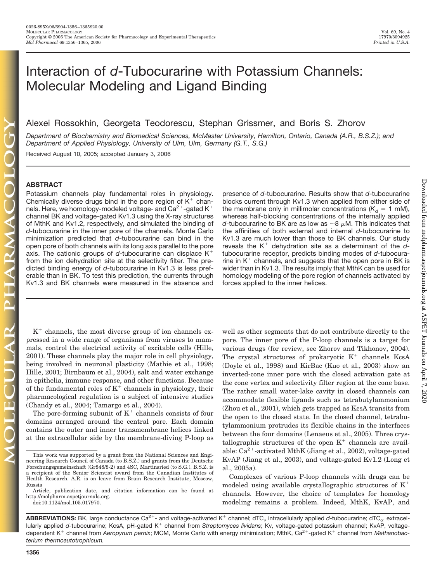# Interaction of *d*-Tubocurarine with Potassium Channels: Molecular Modeling and Ligand Binding

Alexei Rossokhin, Georgeta Teodorescu, Stephan Grissmer, and Boris S. Zhorov

*Department of Biochemistry and Biomedical Sciences, McMaster University, Hamilton, Ontario, Canada (A.R., B.S.Z.); and Department of Applied Physiology, University of Ulm, Ulm, Germany (G.T., S.G.)*

Received August 10, 2005; accepted January 3, 2006

## **ABSTRACT**

Potassium channels play fundamental roles in physiology. Chemically diverse drugs bind in the pore region of  $K^+$  channels. Here, we homology-modeled voltage- and  $Ca^{2+}$ -gated K<sup>+</sup> channel BK and voltage-gated Kv1.3 using the X-ray structures of MthK and Kv1.2, respectively, and simulated the binding of *d*-tubocurarine in the inner pore of the channels. Monte Carlo minimization predicted that *d*-tubocurarine can bind in the open pore of both channels with its long axis parallel to the pore axis. The cationic groups of *d*-tubocurarine can displace K from the ion dehydration site at the selectivity filter. The predicted binding energy of *d*-tubocurarine in Kv1.3 is less preferable than in BK. To test this prediction, the currents through Kv1.3 and BK channels were measured in the absence and

 $K^+$  channels, the most diverse group of ion channels expressed in a wide range of organisms from viruses to mammals, control the electrical activity of excitable cells (Hille, 2001). These channels play the major role in cell physiology, being involved in neuronal plasticity (Mathie et al., 1998; Hille, 2001; Birnbaum et al., 2004), salt and water exchange in epithelia, immune response, and other functions. Because of the fundamental roles of  $K^+$  channels in physiology, their pharmacological regulation is a subject of intensive studies (Chandy et al., 2004; Tamargo et al., 2004).

The pore-forming subunit of  $K^+$  channels consists of four domains arranged around the central pore. Each domain contains the outer and inner transmembrane helices linked at the extracellular side by the membrane-diving P-loop as

doi:10.1124/mol.105.017970.

presence of *d*-tubocurarine. Results show that *d*-tubocurarine blocks current through Kv1.3 when applied from either side of the membrane only in millimolar concentrations ( $K_d = 1$  mM), whereas half-blocking concentrations of the internally applied *d*-tubocurarine to BK are as low as  $\sim$ 8  $\mu$ M. This indicates that the affinities of both external and internal *d*-tubocurarine to Kv1.3 are much lower than those to BK channels. Our study reveals the  $K^+$  dehydration site as a determinant of the  $d$ tubocurarine receptor, predicts binding modes of *d*-tubocurarine in  $K^+$  channels, and suggests that the open pore in BK is wider than in Kv1.3. The results imply that MthK can be used for homology modeling of the pore region of channels activated by forces applied to the inner helices.

well as other segments that do not contribute directly to the pore. The inner pore of the P-loop channels is a target for various drugs (for review, see Zhorov and Tikhonov, 2004). The crystal structures of prokaryotic  $K^+$  channels KcsA (Doyle et al., 1998) and KirBac (Kuo et al., 2003) show an inverted-cone inner pore with the closed activation gate at the cone vertex and selectivity filter region at the cone base. The rather small water-lake cavity in closed channels can accommodate flexible ligands such as tetrabutylammonium (Zhou et al., 2001), which gets trapped as KcsA transits from the open to the closed state. In the closed channel, tetrabutylammonium protrudes its flexible chains in the interfaces between the four domains (Lenaeus et al., 2005). Three crystallographic structures of the open  $K^+$  channels are available:  $Ca^{2+}$ -activated MthK (Jiang et al., 2002), voltage-gated KvAP (Jiang et al., 2003), and voltage-gated Kv1.2 (Long et al., 2005a).

Complexes of various P-loop channels with drugs can be modeled using available crystallographic structures of  $K^+$ channels. However, the choice of templates for homology modeling remains a problem. Indeed, MthK, KvAP, and Downloaded from molpharm.aspetjournals.org at ASPET Journals on April 7, 2020 Downloaded from [molpharm.aspetjournals.org](http://molpharm.aspetjournals.org/) at ASPET Journals on April 7, 2020

This work was supported by a grant from the National Sciences and Engineering Research Council of Canada (to B.S.Z.) and grants from the Deutsche Forschungsgemeinschaft (Gr848/8-2) and 4SC, Martinsried (to S.G.). B.S.Z. is a recipient of the Senior Scientist award from the Canadian Institutes of Health Research. A.R. is on leave from Brain Research Institute, Moscow, Russia

Article, publication date, and citation information can be found at http://molpharm.aspetjournals.org.

ABBREVIATIONS: BK, large conductance Ca<sup>2+</sup>- and voltage-activated K<sup>+</sup> channel; dTC<sub>i</sub>, intracellularly applied d-tubocurarine; dTC<sub>o</sub>, extracellularly applied d-tubocurarine; KcsA, pH-gated K<sup>+</sup> channel from *Streptomyces lividans*; Kv, voltage-gated potassium channel; KvAP, voltagedependent K<sup>+</sup> channel from Aeropyrum pernix; MCM, Monte Carlo with energy minimization; MthK, Ca<sup>2+</sup>-gated K<sup>+</sup> channel from Methanobac*terium thermoautotrophicum.*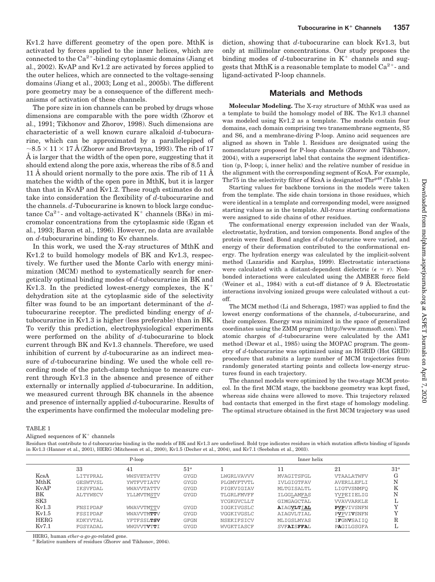Kv1.2 have different geometry of the open pore. MthK is activated by forces applied to the inner helices, which are connected to the  $Ca^{2+}$ -binding cytoplasmic domains (Jiang et al., 2002). KvAP and Kv1.2 are activated by forces applied to the outer helices, which are connected to the voltage-sensing domains (Jiang et al., 2003; Long et al., 2005b). The different pore geometry may be a consequence of the different mechanisms of activation of these channels.

The pore size in ion channels can be probed by drugs whose dimensions are comparable with the pore width (Zhorov et al., 1991; Tikhonov and Zhorov, 1998). Such dimensions are characteristic of a well known curare alkaloid *d*-tubocurarine, which can be approximated by a parallelepiped of  $\sim$ 8.5  $\times$  11  $\times$  17 Å (Zhorov and Brovtsyna, 1993). The rib of 17 Å is larger that the width of the open pore, suggesting that it should extend along the pore axis, whereas the ribs of 8.5 and 11 Å should orient normally to the pore axis. The rib of 11 Å matches the width of the open pore in MthK, but it is larger than that in KvAP and Kv1.2. These rough estimates do not take into consideration the flexibility of *d*-tubocurarine and the channels. *d*-Tubocurarine is known to block large conductance  $Ca^{2+}$ - and voltage-activated K<sup>+</sup> channels (BKs) in micromolar concentrations from the cytoplasmic side (Egan et al., 1993; Baron et al., 1996). However, no data are available on *d*-tubocurarine binding to Kv channels.

In this work, we used the X-ray structures of MthK and Kv1.2 to build homology models of BK and Kv1.3, respectively. We further used the Monte Carlo with energy minimization (MCM) method to systematically search for energetically optimal binding modes of *d*-tubocurarine in BK and Kv1.3. In the predicted lowest-energy complexes, the  $K^+$ dehydration site at the cytoplasmic side of the selectivity filter was found to be an important determinant of the *d*tubocurarine receptor. The predicted binding energy of *d*tubocurarine in Kv1.3 is higher (less preferable) than in BK. To verify this prediction, electrophysiological experiments were performed on the ability of *d*-tubocurarine to block current through BK and Kv1.3 channels. Therefore, we used inhibition of current by *d*-tubocurarine as an indirect measure of *d*-tubocurarine binding. We used the whole cell recording mode of the patch-clamp technique to measure current through Kv1.3 in the absence and presence of either externally or internally applied *d*-tubocurarine. In addition, we measured current through BK channels in the absence and presence of internally applied *d*-tubocurarine. Results of the experiments have confirmed the molecular modeling prediction, showing that *d*-tubocurarine can block Kv1.3, but only at millimolar concentrations. Our study proposes the binding modes of  $d$ -tubocurarine in  $K^+$  channels and suggests that MthK is a reasonable template to model  $Ca^{2+}$ - and ligand-activated P-loop channels.

# **Materials and Methods**

**Molecular Modeling.** The X-ray structure of MthK was used as a template to build the homology model of BK. The Kv1.3 channel was modeled using Kv1.2 as a template. The models contain four domains, each domain comprising two transmembrane segments, S5 and S6, and a membrane-diving P-loop. Amino acid sequences are aligned as shown in Table 1. Residues are designated using the nomenclature proposed for P-loop channels (Zhorov and Tikhonov, 2004), with a superscript label that contains the segment identification (p, P-loop; i, inner helix) and the relative number of residue in the alignment with the corresponding segment of KcsA. For example, Thr75 in the selectivity filter of KcsA is designated Thr<sup>p49</sup> (Table 1).

Starting values for backbone torsions in the models were taken from the template. The side chain torsions in those residues, which were identical in a template and corresponding model, were assigned starting values as in the template. All-*trans* starting conformations were assigned to side chains of other residues.

The conformational energy expression included van der Waals, electrostatic, hydration, and torsion components. Bond angles of the protein were fixed. Bond angles of *d*-tubocurarine were varied, and energy of their deformation contributed to the conformational energy. The hydration energy was calculated by the implicit-solvent method (Lazaridis and Karplus, 1999). Electrostatic interactions were calculated with a distant-dependent dielectric  $(\epsilon = r)$ . Nonbonded interactions were calculated using the AMBER force field (Weiner et al., 1984) with a cut-off distance of 9 Å. Electrostatic interactions involving ionized groups were calculated without a cutoff.

The MCM method (Li and Scheraga, 1987) was applied to find the lowest energy conformations of the channels, *d*-tubocurarine, and their complexes. Energy was minimized in the space of generalized coordinates using the ZMM program (http://www.zmmsoft.com). The atomic charges of *d*-tubocurarine were calculated by the AM1 method (Dewar et al., 1985) using the MOPAC program. The geometry of *d*-tubocurarine was optimized using an HGRID (Hot GRID) procedure that submits a large number of MCM trajectories from randomly generated starting points and collects low-energy structures found in each trajectory.

The channel models were optimized by the two-stage MCM protocol. In the first MCM stage, the backbone geometry was kept fixed, whereas side chains were allowed to move. This trajectory relaxed bad contacts that emerged in the first stage of homology modeling. The optimal structure obtained in the first MCM trajectory was used

TABLE 1

Aligned sequences of  $K^+$  channels

Residues that contribute to *d*-tubocurarine binding in the models of BK and Kv1.3 are underlined. Bold type indicates residues in which mutation affects binding of ligands in Kv1.3 (Hanner et al., 2001), HERG (Mitcheson et al., 2000), Kv1.5 (Decher et al., 2004), and Kv7.1 (Seebohm et al., 2003).

|                 | P-loop          |                     |                 | Inner helix       |                   |                          |        |
|-----------------|-----------------|---------------------|-----------------|-------------------|-------------------|--------------------------|--------|
|                 | 33              | 41                  | 51 <sup>a</sup> |                   | 11                | 21                       | $31^a$ |
| KcsA            | <b>LTTYPRAL</b> | WWSVETATTV          | GYGD            | <b>LWGRLVAVVV</b> | MVAGTTSFGL        | <b>VTAALATWFV</b>        | G      |
| MthK            | GESWTVSL        | YWTFVTTATV          | <b>GYGD</b>     | PLGMYFTVTL        | <b>TVLGTGTFAV</b> | AVERLLEFLT               | N      |
| KyAP            | TKSVFDAL        | WWAVVTATTV          | <b>GYGD</b>     | PTGKVTGTAV        | MLTGTSALTL        | LIGTVSNMFO               | K      |
| BK              | <b>ALTYWECV</b> | YLLMVTMSTV          | <b>GYGD</b>     | TLGRLFMVFF        | TLGGLAMFAS        | YVPETTELTG               | N      |
| SK <sub>3</sub> |                 |                     |                 | YCGKGVCLLT        | GIMGAGCTAL        | <b><i>VVAVVARKLE</i></b> |        |
| Kv1.3           | <b>FNSTPDAF</b> | WWAVVTMTTV          | GYGD            | TGGKTVGSLC        | <b>AIAGVLTIAL</b> | <b>PVP</b> VIVSNFN       |        |
| Kv1.5           | <b>FSSTPDAF</b> | WWAVVTMTTV          | <b>GYGD</b>     | VGGKTVGSLC        | ATAGVLTITAL       | <b>PVPVTVSNFN</b>        |        |
| <b>HERG</b>     | KDKYVTAL        | YFTFSSLTSV          | <b>GFGN</b>     | NSEKTFSTCV        | MLTGSLMYAS        | <b>IFGNVSAIIO</b>        | R      |
| Kv7.1           | FGSYADAL        | WWGVVT <b>VTT</b> T | <b>GYGD</b>     | WVGKTIASCF        | <b>SVFAISFFAL</b> | <b>PAGTLGSGFA</b>        |        |

HERG, human *ether-a-go-go*-related gene. *<sup>a</sup>* Relative numbers of residues (Zhorov and Tikhonov, 2004).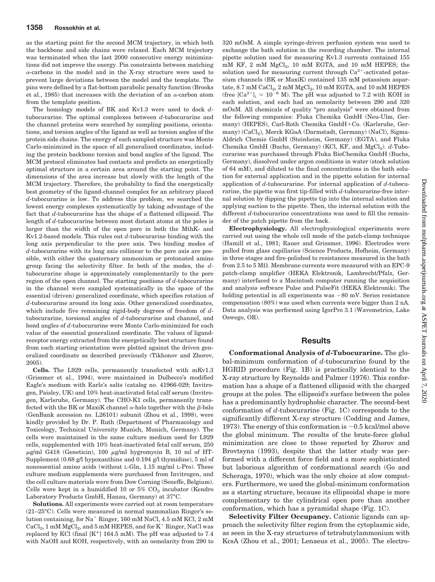as the starting point for the second MCM trajectory, in which both the backbone and side chains were relaxed. Each MCM trajectory was terminated when the last 2000 consecutive energy minimizations did not improve the energy. Pin constraints between matching  $\alpha$ -carbons in the model and in the X-ray structure were used to prevent large deviations between the model and the template. The pins were defined by a flat-bottom parabolic penalty function (Brooks et al., 1985) that increases with the deviation of an  $\alpha$ -carbon atom from the template position.

The homology models of BK and Kv1.3 were used to dock *d*tubocurarine. The optimal complexes between *d*-tubocurarine and the channel proteins were searched by sampling positions, orientations, and torsion angles of the ligand as well as torsion angles of the protein side chains. The energy of each sampled structure was Monte Carlo-minimized in the space of all generalized coordinates, including the protein backbone torsion and bond angles of the ligand. The MCM protocol eliminates bad contacts and predicts an energetically optimal structure in a certain area around the starting point. The dimensions of the area increase but slowly with the length of the MCM trajectory. Therefore, the probability to find the energetically best geometry of the ligand-channel complex for an arbitrary placed *d*-tubocurarine is low. To address this problem, we searched the lowest energy complexes systematically by taking advantage of the fact that *d*-tubocurarine has the shape of a flattened ellipsoid. The length of *d*-tubocurarine between most distant atoms at the poles is larger than the width of the open pore in both the MthK- and Kv1.2-based models. This rules out *d*-tubocurarine binding with the long axis perpendicular to the pore axis. Two binding modes of *d*-tubocurarine with its long axis collinear to the pore axis are possible, with either the quaternary ammonium or protonated amino group facing the selectivity filter. In both of the modes, the *d*tubocurarine shape is approximately complementarily to the pore region of the open channel. The starting positions of *d*-tubocurarine in the channel were sampled systematically in the space of the essential (driven) generalized coordinate, which specifies rotation of *d*-tubocurarine around its long axis. Other generalized coordinates, which include five remaining rigid-body degrees of freedom of *d*tubocurarine, torsional angles of *d*-tubocurarine and channel, and bond angles of *d*-tubocurarine were Monte Carlo-minimized for each value of the essential generalized coordinate. The values of ligandreceptor energy extracted from the energetically best structure found from each starting orientation were plotted against the driven generalized coordinate as described previously (Tikhonov and Zhorov, 2005).

**Cells.** The L929 cells, permanently transfected with mKv1.3 (Grissmer et al., 1994), were maintained in Dulbecco's modified Eagle's medium with Earle's salts (catalog no. 41966-029; Invitrogen, Paisley, UK) and 10% heat-inactivated fetal calf serum (Invitrogen, Karlsruhe, Germany). The CHO-K1 cells, permanently transfected with the BK or MaxiK channel  $\alpha$ -hslo together with the  $\beta$ -bslo (GenBank accession no. L26101) subunit (Zhou et al., 1998), were kindly provided by Dr. P. Ruth (Department of Pharmacology and Toxicology, Technical University Munich, Munich, Germany). The cells were maintained in the same culture medium used for L929 cells, supplemented with 10% heat-inactivated fetal calf serum, 250  $\mu$ g/ml G418 (Geneticin), 100  $\mu$ g/ml hygromycin B, 10 ml of HT-Supplement (0.68 g/l hypoxanthine and 0.194 g/l thymidine), 5 ml of nonessential amino acids (without L-Gln, 1.15 mg/ml L-Pro). These culture medium supplements were purchased from Invitrogen, and the cell culture materials were from Dow Corning (Seneffe, Belgium). Cells were kept in a humidified 10 or  $5\%$  CO<sub>2</sub> incubator (Kendro Laboratory Products GmbH, Hanau, Germany) at 37°C.

**Solutions.** All experiments were carried out at room temperature (21–25°C). Cells were measured in normal mammalian Ringer's solution containing, for  $Na^+$  Ringer, 160 mM NaCl, 4.5 mM KCl, 2 mM  $\rm CaCl_2$ , 1 mM  $\rm MgCl_2$ , and 5 mM HEPES, and for K<sup>+</sup> Ringer, NaCl was replaced by KCl (final  $[K^+]$  164.5 mM). The pH was adjusted to 7.4 with NaOH and KOH, respectively, with an osmolarity from 290 to

320 mOsM. A simple syringe-driven perfusion system was used to exchange the bath solution in the recording chamber. The internal pipette solution used for measuring Kv1.3 currents contained 155 mM KF,  $2$  mM  $MgCl<sub>2</sub>$ ,  $10$  mM EGTA, and  $10$  mM HEPES; the solution used for measuring current through  $Ca^{2+}$ -activated potassium channels (BK or MaxiK) contained 135 mM potassium aspartate,  $8.7 \text{ mM CaCl}_2$ ,  $2 \text{ mM MgCl}_2$ ,  $10 \text{ mM EGTA}$ , and  $10 \text{ mM HEPES}$ (free  $[Ca^{2+}]_i = 10^{-6}$  M). The pH was adjusted to 7.2 with KOH in each solution, and each had an osmolarity between 290 and 320 mOsM. All chemicals of quality "pro analysis" were obtained from the following companies: Fluka Chemika GmbH (Neu-Ulm, Germany) (HEPES), Carl-Roth Chemika GmbH+Co. (Karlsruhe, Germany) (CaCl<sub>2</sub>), Merck KGaA (Darmstadt, Germany) (NaCl), Sigma-Aldrich Chemie GmbH (Steinheim, Germany) (EGTA), and Fluka Chemika GmbH (Buchs, Germany) (KCl, KF, and MgCl<sub>2</sub>). *d*-Tubocurarine was purchased through Fluka BioChemika GmbH (Buchs, Germany), dissolved under argon conditions in water (stock solution of 64 mM), and diluted to the final concentrations in the bath solution for external application and in the pipette solution for internal application of *d*-tubocurarine. For internal application of *d*-tubocurarine, the pipette was first tip-filled with *d*-tubocurarine-free internal solution by dipping the pipette tip into the internal solution and applying suction to the pipette. Then, the internal solution with the different *d*-tubocurarine concentrations was used to fill the remainder of the patch pipette from the back.

**Electrophysiology.** All electrophysiological experiments were carried out using the whole cell mode of the patch-clamp technique (Hamill et al., 1981; Rauer and Grissmer, 1996). Electrodes were pulled from glass capillaries (Science Products, Hofheim, Germany) in three stages and fire-polished to resistances measured in the bath from 2.5 to 5 M $\Omega$ . Membrane currents were measured with an EPC-9 patch-clamp amplifier (HEKA Elektronik, Lambrecht/Pfalz, Germany) interfaced to a Macintosh computer running the acquisition and analysis software Pulse and PulseFit (HEKA Elektronik). The holding potential in all experiments was  $-80$  mV. Series resistance compensation (80%) was used when currents were bigger than 2 nA. Data analysis was performed using IgorPro 3.1 (Wavemetrics, Lake Oswego, OR).

# **Results**

**Conformational Analysis of** *d***-Tubocurarine.** The global-minimum conformation of *d*-tubocurarine found by the HGRID procedure (Fig. 1B) is practically identical to the X-ray structure by Reynolds and Palmer (1976). This conformation has a shape of a flattened ellipsoid with the charged groups at the poles. The ellipsoid's surface between the poles has a predominantly hydrophobic character. The second-best conformation of *d*-tubocurarine (Fig. 1C) corresponds to the significantly different X-ray structure (Codding and James, 1973). The energy of this conformation is  $\sim 0.5$  kcal/mol above the global minimum. The results of the brute-force global minimization are close to those reported by Zhorov and Brovtsyna (1993), despite that the latter study was performed with a different force field and a more sophisticated but laborious algorithm of conformational search (Go and Scheraga, 1970), which was the only choice at slow computers. Furthermore, we used the global-minimum conformation as a starting structure, because its ellipsoidal shape is more complementary to the cylindrical open pore than another conformation, which has a pyramidal shape (Fig. 1C).

**Selectivity Filter Occupancy.** Cationic ligands can approach the selectivity filter region from the cytoplasmic side, as seen in the X-ray structures of tetrabutylammonium with KcsA (Zhou et al., 2001; Lenaeus et al., 2005). The electro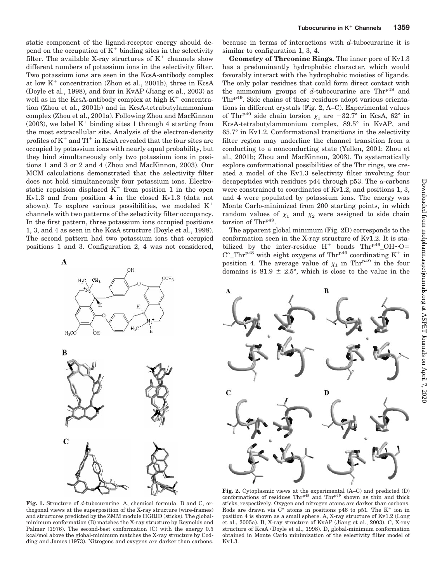static component of the ligand-receptor energy should depend on the occupation of  $K^+$  binding sites in the selectivity filter. The available X-ray structures of  $K^+$  channels show different numbers of potassium ions in the selectivity filter. Two potassium ions are seen in the KcsA-antibody complex at low  $K^+$  concentration (Zhou et al., 2001b), three in KcsA (Doyle et al., 1998), and four in KvAP (Jiang et al., 2003) as well as in the KcsA-antibody complex at high  $K<sup>+</sup>$  concentration (Zhou et al., 2001b) and in KcsA-tetrabutylammonium complex (Zhou et al., 2001a). Following Zhou and MacKinnon  $(2003)$ , we label K<sup>+</sup> binding sites 1 through 4 starting from the most extracellular site. Analysis of the electron-density profiles of  $K^+$  and  $Tl^+$  in KcsA revealed that the four sites are occupied by potassium ions with nearly equal probability, but they bind simultaneously only two potassium ions in positions 1 and 3 or 2 and 4 (Zhou and MacKinnon, 2003). Our MCM calculations demonstrated that the selectivity filter does not hold simultaneously four potassium ions. Electrostatic repulsion displaced  $K^+$  from position 1 in the open Kv1.3 and from position 4 in the closed Kv1.3 (data not shown). To explore various possibilities, we modeled  $K^+$ channels with two patterns of the selectivity filter occupancy. In the first pattern, three potassium ions occupied positions 1, 3, and 4 as seen in the KcsA structure (Doyle et al., 1998). The second pattern had two potassium ions that occupied positions 1 and 3. Configuration 2, 4 was not considered,

A



because in terms of interactions with *d*-tubocurarine it is similar to configuration 1, 3, 4.

**Geometry of Threonine Rings.** The inner pore of Kv1.3 has a predominantly hydrophobic character, which would favorably interact with the hydrophobic moieties of ligands. The only polar residues that could form direct contact with the ammonium groups of  $d$ -tubocurarine are  $Thr<sup>p48</sup>$  and Thr<sup>p49</sup>. Side chains of these residues adopt various orientations in different crystals (Fig. 2, A–C). Experimental values of Thr<sup>p49</sup> side chain torsion  $\chi_1$  are -32.7° in KcsA, 62° in KcsA-tetrabutylammonium complex, 89.5° in KvAP, and 65.7° in Kv1.2. Conformational transitions in the selectivity filter region may underline the channel transition from a conducting to a nonconducting state (Yellen, 2001; Zhou et al., 2001b; Zhou and MacKinnon, 2003). To systematically explore conformational possibilities of the Thr rings, we created a model of the Kv1.3 selectivity filter involving four decapeptides with residues p44 through p53. The  $\alpha$ -carbons were constrained to coordinates of Kv1.2, and positions 1, 3, and 4 were populated by potassium ions. The energy was Monte Carlo-minimized from 200 starting points, in which random values of  $\chi_1$  and  $\chi_2$  were assigned to side chain torsion of Thr<sup>p49</sup>.

The apparent global minimum (Fig. 2D) corresponds to the conformation seen in the X-ray structure of Kv1.2. It is stabilized by the inter-residue  $H^+$  bonds  $Thr^{p49}$ -OH-O=  $C^{\alpha}$  Thr<sup>p48</sup> with eight oxygens of Thr<sup>p49</sup> coordinating K<sup>+</sup> in position 4. The average value of  $\chi_1$  in Thr<sup>p49</sup> in the four domains is  $81.9 \pm 2.5^{\circ}$ , which is close to the value in the



**Fig. 1.** Structure of *d*-tubocurarine. A, chemical formula. B and C, orthogonal views at the superposition of the X-ray structure (wire-frames) and structures predicted by the ZMM module HGRID (sticks). The globalminimum conformation (B) matches the X-ray structure by Reynolds and Palmer (1976). The second-best conformation (C) with the energy 0.5 kcal/mol above the global-minimum matches the X-ray structure by Codding and James (1973). Nitrogens and oxygens are darker than carbons.

**Fig. 2.** Cytoplasmic views at the experimental (A–C) and predicted (D) conformations of residues  $Thr^{p48}$  and  $Thr^{p49}$  shown as thin and thick sticks, respectively. Oxygen and nitrogen atoms are darker than carbons. Rods are drawn via  $C^{\alpha}$  atoms in positions p46 to p51. The K<sup>+</sup> ion in position 4 is shown as a small sphere. A, X-ray structure of Kv1.2 (Long et al., 2005a). B, X-ray structure of KvAP (Jiang et al., 2003). C, X-ray structure of KcsA (Doyle et al., 1998). D, global-minimum conformation obtained in Monte Carlo minimization of the selectivity filter model of Kv1.3.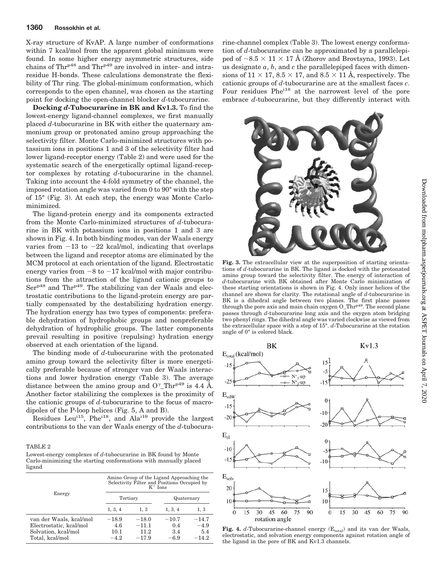## **1360 Rossokhin et al.**

X-ray structure of KvAP. A large number of conformations within 7 kcal/mol from the apparent global minimum were found. In some higher energy asymmetric structures, side chains of  $Thr^{p48}$  and  $Thr^{p49}$  are involved in inter- and intraresidue H-bonds. These calculations demonstrate the flexibility of Thr ring. The global-minimum conformation, which corresponds to the open channel, was chosen as the starting point for docking the open-channel blocker *d*-tubocurarine.

**Docking** *d***-Tubocurarine in BK and Kv1.3.** To find the lowest-energy ligand-channel complexes, we first manually placed *d*-tubocurarine in BK with either the quaternary ammonium group or protonated amino group approaching the selectivity filter. Monte Carlo-minimized structures with potassium ions in positions 1 and 3 of the selectivity filter had lower ligand-receptor energy (Table 2) and were used for the systematic search of the energetically optimal ligand-receptor complexes by rotating *d*-tubocurarine in the channel. Taking into account the 4-fold symmetry of the channel, the imposed rotation angle was varied from 0 to 90° with the step of 15° (Fig. 3). At each step, the energy was Monte Carlominimized.

The ligand-protein energy and its components extracted from the Monte Carlo-minimized structures of *d*-tubocurarine in BK with potassium ions in positions 1 and 3 are shown in Fig. 4. In both binding modes, van der Waals energy varies from  $-13$  to  $-22$  kcal/mol, indicating that overlaps between the ligand and receptor atoms are eliminated by the MCM protocol at each orientation of the ligand. Electrostatic energy varies from  $-8$  to  $-17$  kcal/mol with major contributions from the attraction of the ligand cationic groups to Ser<sup>p48</sup> and Thr<sup>p49</sup>. The stabilizing van der Waals and electrostatic contributions to the ligand-protein energy are partially compensated by the destabilizing hydration energy. The hydration energy has two types of components: preferable dehydration of hydrophobic groups and nonpreferable dehydration of hydrophilic groups. The latter components prevail resulting in positive (repulsing) hydration energy observed at each orientation of the ligand.

The binding mode of *d*-tubocurarine with the protonated amino group toward the selectivity filter is more energetically preferable because of stronger van der Waals interactions and lower hydration energy (Table 3). The average distance between the amino group and  $O^{\gamma}$ -Thr<sup>p49</sup> is 4.4 Å. Another factor stabilizing the complexes is the proximity of the cationic groups of *d*-tubocurarine to the focus of macrodipoles of the P-loop helices (Fig. 5, A and B).

Residues Leu<sup>115</sup>, Phe<sup>118</sup>, and Ala<sup>119</sup> provide the largest contributions to the van der Waals energy of the *d*-tubocura-

## TABLE 2

Lowest-energy complexes of *d*-tubocurarine in BK found by Monte Carlo-minimizing the starting conformations with manually placed ligand

|                         | Amino Group of the Ligand Approaching the<br>Selectivity Filter and Positions Occupied by<br>$K^+$ Ions |          |            |         |  |
|-------------------------|---------------------------------------------------------------------------------------------------------|----------|------------|---------|--|
| Energy                  |                                                                                                         | Tertiary | Quaternary |         |  |
|                         | 1, 3, 4                                                                                                 | 1, 3     | 1, 3, 4    | 1, 3    |  |
| van der Waals, kcal/mol | $-18.9$                                                                                                 | $-18.0$  | $-10.7$    | $-14.7$ |  |
| Electrostatic, kcal/mol | 4.6                                                                                                     | $-11.1$  | 0.4        | $-4.9$  |  |
| Solvation, kcal/mol     | 10.1                                                                                                    | 11.2     | 3.4        | 5.4     |  |
| Total, kcal/mol         | $-4.2$                                                                                                  | $-17.9$  | $-6.9$     | $-14.2$ |  |

rine-channel complex (Table 3). The lowest energy conformation of *d*-tubocurarine can be approximated by a parallelepiped of  $\sim$ 8.5  $\times$  11  $\times$  17 Å (Zhorov and Brovtsyna, 1993). Let us designate  $a, b$ , and  $c$  the parallelepiped faces with dimensions of  $11 \times 17$ ,  $8.5 \times 17$ , and  $8.5 \times 11$  Å, respectively. The cationic groups of *d*-tubocurarine are at the smallest faces *c*. Four residues Phe<sup>118</sup> at the narrowest level of the pore embrace *d*-tubocurarine, but they differently interact with



**Fig. 3.** The extracellular view at the superposition of starting orientations of *d*-tubocurarine in BK. The ligand is docked with the protonated amino group toward the selectivity filter. The energy of interaction of *d*-tubocurarine with BK obtained after Monte Carlo minimization of these starting orientations is shown in Fig. 4. Only inner helices of the channel are shown for clarity. The rotational angle of *d*-tubocurarine in BK is a dihedral angle between two planes. The first plane passes through the pore axis and main chain oxygen O\_Thr<sup>p49</sup>. The second plane passes through *d*-tubocurarine long axis and the oxygen atom bridging two phenyl rings. The dihedral angle was varied clockwise as viewed from the extracellular space with a step of 15°. *d*-Tubocurarine at the rotation angle of 0° is colored black.



Fig. 4.  $d$ -Tubocurarine-channel energy  $(E_{total})$  and its van der Waals, electrostatic, and solvation energy components against rotation angle of the ligand in the pore of BK and Kv1.3 channels.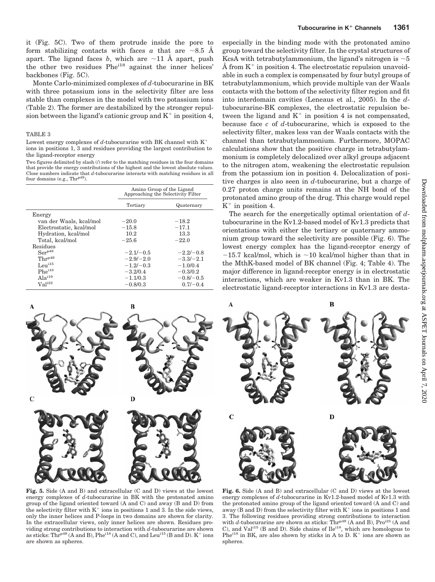it (Fig. 5C). Two of them protrude inside the pore to form stabilizing contacts with faces a that are  $\sim 8.5$  Å apart. The ligand faces  $b$ , which are  $\sim$ 11 Å apart, push the other two residues Phe<sup>118</sup> against the inner helices' backbones (Fig. 5C).

Monte Carlo-minimized complexes of *d*-tubocurarine in BK with three potassium ions in the selectivity filter are less stable than complexes in the model with two potassium ions (Table 2). The former are destabilized by the stronger repulsion between the ligand's cationic group and  $K^+$  in position 4,

#### TABLE 3

Lowest energy complexes of  $d$ -tubocurarine with BK channel with  $K^+$ ions in positions 1, 3 and residues providing the largest contribution to the ligand-receptor energy

Two figures delimited by slash  $($ ) refer to the matching residues in the four domains that provide the energy contributions of the highest and the lowest absolute values. Close numbers indicate that *d*-tubocurarine interacts with matching residues in all four domains (e.g., Thrp49)

|                         | Amino Group of the Ligand<br>Approaching the Selectivity Filter |             |  |
|-------------------------|-----------------------------------------------------------------|-------------|--|
|                         | Tertiary                                                        | Quaternary  |  |
| Energy                  |                                                                 |             |  |
| van der Waals, kcal/mol | $-20.0$                                                         | $-18.2$     |  |
| Electrostatic, kcal/mol | $-15.8$                                                         | $-17.1$     |  |
| Hydration, kcal/mol     | 10.2                                                            | 13.3        |  |
| Total, kcal/mol         | $-25.6$                                                         | $-22.0$     |  |
| Residues                |                                                                 |             |  |
| Ser <sup>p48</sup>      | $-2.1/-0.5$                                                     | $-2.2/-0.8$ |  |
| $Thr^{p49}$             | $-2.9/-2.0$                                                     | $-3.3/-2.1$ |  |
| Leu <sup>i15</sup>      | $-1.2/-0.3$                                                     | $-1.0/0.4$  |  |
| $Phe^{i18}$             | $-3.2/0.4$                                                      | $-0.3/0.2$  |  |
| $Ala^{i19}$             | $-1.1/0.3$                                                      | $-0.8/-0.5$ |  |
| $Val^{i22}$             | $-0.8/0.3$                                                      | $0.7/-0.4$  |  |



especially in the binding mode with the protonated amino group toward the selectivity filter. In the crystal structures of KcsA with tetrabutylammonium, the ligand's nitrogen is  $\sim$  5 Å from  $K^+$  in position 4. The electrostatic repulsion unavoidable in such a complex is compensated by four butyl groups of tetrabutylammonium, which provide multiple van der Waals contacts with the bottom of the selectivity filter region and fit into interdomain cavities (Leneaus et al., 2005). In the *d*tubocurarine-BK complexes, the electrostatic repulsion between the ligand and  $K^+$  in position 4 is not compensated, because face *c* of *d*-tubocurarine, which is exposed to the selectivity filter, makes less van der Waals contacts with the channel than tetrabutylammonium. Furthermore, MOPAC calculations show that the positive charge in tetrabutylammonium is completely delocalized over alkyl groups adjacent to the nitrogen atom, weakening the electrostatic repulsion from the potassium ion in position 4. Delocalization of positive charges is also seen in *d*-tubocurarine, but a charge of 0.27 proton charge units remains at the NH bond of the protonated amino group of the drug. This charge would repel  $K^+$  in position 4.

The search for the energetically optimal orientation of *d*tubocurarine in the Kv1.2-based model of Kv1.3 predicts that orientations with either the tertiary or quaternary ammonium group toward the selectivity are possible (Fig. 6). The lowest energy complex has the ligand-receptor energy of  $-15.7$  kcal/mol, which is  $\sim$  10 kcal/mol higher than that in the MthK-based model of BK channel (Fig. 4; Table 4). The major difference in ligand-receptor energy is in electrostatic interactions, which are weaker in Kv1.3 than in BK. The electrostatic ligand-receptor interactions in Kv1.3 are desta-



**Fig. 5.** Side (A and B) and extracellular (C and D) views at the lowest energy complexes of *d*-tubocurarine in BK with the protonated amino group of the ligand oriented toward (A and C) and away (B and D) from the selectivity filter with  $K^+$  ions in positions 1 and 3. In the side views, only the inner helices and P-loops in two domains are shown for clarity. In the extracellular views, only inner helices are shown. Residues providing strong contributions to interaction with *d*-tubocurarine are shown<br>as sticks: Thr<sup>p49</sup> (A and B), Phe<sup>118</sup> (A and C), and Leu<sup>115</sup> (B and D). K<sup>+</sup> ions are shown as spheres.

**Fig. 6.** Side (A and B) and extracellular (C and D) views at the lowest energy complexes of *d*-tubocurarine in Kv1.2-based model of Kv1.3 with the protonated amino group of the ligand oriented toward (A and C) and away (B and D) from the selectivity filter with  $K^+$  ions in positions 1 and 3. The following residues providing strong contributions to interaction with *d*-tubocurarine are shown as sticks: Thr<sup>p49</sup> (A and B), Pro<sup>123</sup> (A and C), and Val<sup>115</sup> (B and D). Side chains of Ile<sup>118</sup>, which are homologous to Phe<sup> $118$ </sup> in BK, are also shown by sticks in A to D.  $K^+$  ions are shown as spheres.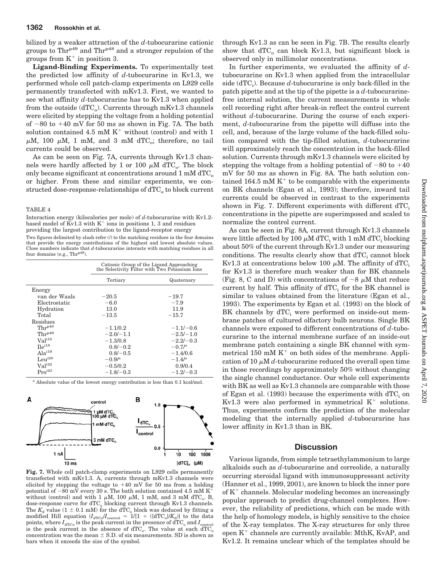bilized by a weaker attraction of the *d*-tubocurarine cationic groups to  $Thr^{p49}$  and  $Thr^{p48}$  and a stronger repulsion of the groups from  $K^+$  in position 3.

**Ligand-Binding Experiments.** To experimentally test the predicted low affinity of *d*-tubocurarine in Kv1.3, we performed whole cell patch-clamp experiments on L929 cells permanently transfected with mKv1.3. First, we wanted to see what affinity *d*-tubocurarine has to Kv1.3 when applied from the outside (dTC<sub>o</sub>). Currents through mKv1.3 channels were elicited by stepping the voltage from a holding potential of  $-80$  to  $+40$  mV for 50 ms as shown in Fig. 7A. The bath solution contained 4.5 mM  $K^+$  without (control) and with 1  $\mu$ M, 100  $\mu$ M, 1 mM, and 3 mM dTC<sub>o</sub>; therefore, no tail currents could be observed.

As can be seen on Fig. 7A, currents through Kv1.3 channels were hardly affected by 1 or 100  $\mu$ M dTC<sub>o</sub>. The block only became significant at concentrations around  $1 \text{ mM } d \text{TC}_o$ or higher. From these and similar experiments, we constructed dose-response-relationships of  $\text{dTC}_o$  to block current

### TABLE 4

Interaction energy (kilocalories per mole) of *d*-tubocurarine with Kv1.2 based model of  $\overline{\mathrm{Kv}}1.3$  with  $\mathrm{K}^+$  ions in positions 1, 3 and residues providing the largest contribution to the ligand-receptor energy Two figures delimited by slash refer  $($ ) to the matching residues in the four domains that provide the energy contributions of the highest and lowest absolute values. Close numbers indicate that *d*-tubocurarine interacts with matching residues in all

| four domains (e.g., Thr <sup>p49</sup> ). |                                                                                            |                       |  |
|-------------------------------------------|--------------------------------------------------------------------------------------------|-----------------------|--|
|                                           | Cationic Group of the Ligand Approaching<br>the Selectivity Filter with Two Potassium Ions |                       |  |
|                                           | Tertiary                                                                                   | Quaternary            |  |
| Energy                                    |                                                                                            |                       |  |
| van der Waals                             | $-20.5$                                                                                    | $-19.7$               |  |
| Electrostatic                             | $-6.0$                                                                                     | $-7.9$                |  |
| Hydration                                 | 13.0                                                                                       | 11.9                  |  |
| Total                                     | $-13.5$                                                                                    | $-15.7$               |  |
| Residues                                  |                                                                                            |                       |  |
| $Thr^{p48}$                               | $-1.1/0.2$                                                                                 | $-1.1/-0.6$           |  |
| $Thr^{p49}$                               | $-2.0/-1.1$                                                                                | $-2.5/-1.0$           |  |
| Val <sup>i15</sup>                        | $-1.3/0.8$                                                                                 | $-2.2/-0.3$           |  |
| $\text{He}^{\text{i18}}$                  | $0.8/-0.2$                                                                                 | $-0.7$ / <sup>a</sup> |  |
| Ala <sup>i19</sup>                        | $0.8/-0.5$                                                                                 | $-1.4/0.6$            |  |
| $Leu^{i20}$                               | $-0.9/a$                                                                                   | $-1.4/a$              |  |
| $Val^{i22}$                               | $-0.5/0.2$                                                                                 | 0.9/0.4               |  |
| $Pro^{i23}$                               | $-1.8/-0.3$                                                                                | $-1.2/-0.3$           |  |

*<sup>a</sup>* Absolute value of the lowest energy contribution is less than 0.1 kcal/mol.



**Fig. 7.** Whole cell patch-clamp experiments on L929 cells permanently transfected with mKv1.3. A, currents through mKv1.3 channels were elicited by stepping the voltage to  $+40$  mV for 50 ms from a holding potential of  $-80$  mV every 30 s. The bath solution contained 4.5 mM K without (control) and with 1  $\mu$ M, 100  $\mu$ M, 1 mM, and 3 mM dTC<sub>o</sub>. B, dose-response curve for dTC<sub>o</sub> blocking current through Kv1.3 channels. The  $K_d$  value (1  $\pm$  0.1 mM) for the dTC<sub>o</sub> block was deduced by fitting a modified Hill equation ( $I_{\text{dTC}_0}/I_{\text{control}} = 1/[1 + (dTC_0]/K_d)]$  to the data points, where  $I_{\text{dTC}_0}$  is the peak current in the presence of  $\text{dTC}_0$  and  $I_{\text{control}}$ is the peak current in the absence of  $\text{dTC}_o$ . The value at each  $\overline{\text{dTC}}_o$ concentration was the mean  $\pm$  S.D. of six measurements. SD is shown as bars when it exceeds the size of the symbol.

through Kv1.3 as can be seen in Fig. 7B. The results clearly show that  $dTC<sub>o</sub>$  can block Kv1.3, but significant block is observed only in millimolar concentrations.

In further experiments, we evaluated the affinity of *d*tubocurarine on Kv1.3 when applied from the intracellular  $side (dTC<sub>i</sub>)$ . Because  $d$ -tubocurarine is only back-filled in the patch pipette and at the tip of the pipette is a *d*-tubocurarinefree internal solution, the current measurements in whole cell recording right after break-in reflect the control current without *d*-tubocurarine. During the course of each experiment, *d*-tubocurarine from the pipette will diffuse into the cell, and, because of the large volume of the back-filled solution compared with the tip-filled solution, *d*-tubocurarine will approximately reach the concentration in the back-filled solution. Currents through mKv1.3 channels were elicited by stepping the voltage from a holding potential of  $-80$  to  $+40$ mV for 50 ms as shown in Fig. 8A. The bath solution contained 164.5 mM  $K<sup>+</sup>$  to be comparable with the experiments on BK channels (Egan et al., 1993); therefore, inward tail currents could be observed in contrast to the experiments shown in Fig. 7. Different experiments with different  $dTC_i$ concentrations in the pipette are superimposed and scaled to normalize the control current.

As can be seen in Fig. 8A*,* current through Kv1.3 channels were little affected by 100  $\mu$ M dTC<sub>i</sub> with 1 mM dTC<sub>i</sub> blocking about 50% of the current through Kv1.3 under our measuring conditions. The results clearly show that  $dTC_i$  cannot block Kv1.3 at concentrations below 100  $\mu$ M. The affinity of dTC<sub>i</sub> for Kv1.3 is therefore much weaker than for BK channels (Fig. 8, C and D) with concentrations of  $\sim$ 8  $\mu$ M that reduce current by half. This affinity of  $dTC_i$  for the BK channel is similar to values obtained from the literature (Egan et al., 1993). The experiments by Egan et al. (1993) on the block of BK channels by  $dTC_i$  were performed on inside-out membrane patches of cultured olfactory bulb neurons. Single BK channels were exposed to different concentrations of *d*-tubocurarine to the internal membrane surface of an inside-out membrane patch containing a single BK channel with symmetrical 150 mM  $K^+$  on both sides of the membrane. Application of 10  $\mu$ M  $d$ -tubocurarine reduced the overall open time in those recordings by approximately 50% without changing the single channel conductance. Our whole cell experiments with BK as well as Kv1.3 channels are comparable with those of Egan et al.  $(1993)$  because the experiments with dTC<sub>i</sub> on Kv1.3 were also performed in symmetrical  $K^+$  solutions. Thus, experiments confirm the prediction of the molecular modeling that the internally applied *d*-tubocurarine has lower affinity in Kv1.3 than in BK.

## **Discussion**

Various ligands, from simple tetraethylammonium to large alkaloids such as *d*-tubocurarine and correolide, a naturally occurring steroidal ligand with immunosuppressant activity (Hanner et al., 1999, 2001), are known to block the inner pore of  $K<sup>+</sup>$  channels. Molecular modeling becomes an increasingly popular approach to predict drug-channel complexes. However, the reliability of predictions, which can be made with the help of homology models, is highly sensitive to the choice of the X-ray templates. The X-ray structures for only three open  $K^+$  channels are currently available: MthK, KvAP, and Kv1.2. It remains unclear which of the templates should be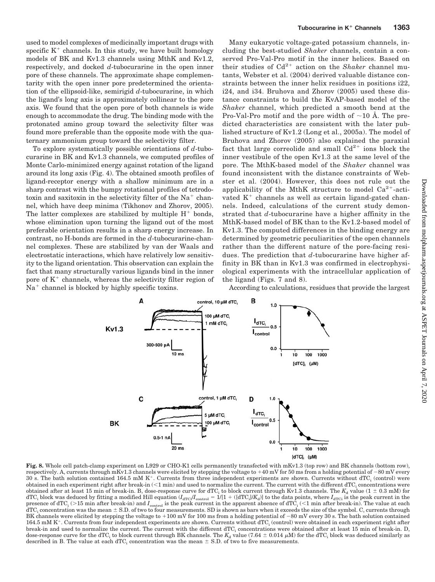used to model complexes of medicinally important drugs with specific  $K^+$  channels. In this study, we have built homology models of BK and Kv1.3 channels using MthK and Kv1.2, respectively, and docked *d*-tubocurarine in the open inner pore of these channels. The approximate shape complementarity with the open inner pore predetermined the orientation of the ellipsoid-like, semirigid *d*-tubocurarine, in which the ligand's long axis is approximately collinear to the pore axis. We found that the open pore of both channels is wide enough to accommodate the drug. The binding mode with the protonated amino group toward the selectivity filter was found more preferable than the opposite mode with the quaternary ammonium group toward the selectivity filter.

To explore systematically possible orientations of *d*-tubocurarine in BK and Kv1.3 channels, we computed profiles of Monte Carlo-minimized energy against rotation of the ligand around its long axis (Fig. 4). The obtained smooth profiles of ligand-receptor energy with a shallow minimum are in a sharp contrast with the bumpy rotational profiles of tetrodotoxin and saxitoxin in the selectivity filter of the  $Na<sup>+</sup>$  channel, which have deep minima (Tikhonov and Zhorov, 2005). The latter complexes are stabilized by multiple  $H^+$  bonds, whose elimination upon turning the ligand out of the most preferable orientation results in a sharp energy increase. In contrast, no H-bonds are formed in the *d*-tubocurarine-channel complexes. These are stabilized by van der Waals and electrostatic interactions, which have relatively low sensitivity to the ligand orientation. This observation can explain the fact that many structurally various ligands bind in the inner pore of  $K^+$  channels, whereas the selectivity filter region of  $Na<sup>+</sup>$  channel is blocked by highly specific toxins.

Many eukaryotic voltage-gated potassium channels, including the best-studied *Shaker* channels, contain a conserved Pro-Val-Pro motif in the inner helices. Based on their studies of Cd<sup>2+</sup> action on the *Shaker* channel mutants, Webster et al. (2004) derived valuable distance constraints between the inner helix residues in positions i22, i24, and i34. Bruhova and Zhorov (2005) used these distance constraints to build the KvAP-based model of the *Shaker* channel, which predicted a smooth bend at the Pro-Val-Pro motif and the pore width of  $\sim$ 10 Å. The predicted characteristics are consistent with the later published structure of Kv1.2 (Long et al., 2005a). The model of Bruhova and Zhorov (2005) also explained the paraxial fact that large correolide and small  $Cd^{2+}$  ions block the inner vestibule of the open Kv1.3 at the same level of the pore. The MthK-based model of the *Shaker* channel was found inconsistent with the distance constraints of Webster et al. (2004). However, this does not rule out the applicability of the MthK structure to model  $Ca^{2+}$ -activated  $K^+$  channels as well as certain ligand-gated channels. Indeed, calculations of the current study demonstrated that *d*-tubocurarine have a higher affinity in the MthK-based model of BK than to the Kv1.2-based model of Kv1.3. The computed differences in the binding energy are determined by geometric peculiarities of the open channels rather than the different nature of the pore-facing residues. The prediction that *d*-tubocurarine have higher affinity in BK than in Kv1.3 was confirmed in electrophysiological experiments with the intracellular application of the ligand (Figs. 7 and 8). According to calculations, residues that provide the largest



**Fig. 8.** Whole cell patch-clamp experiment on L929 or CHO-K1 cells permanently transfected with mKv1.3 (top row) and BK channels (bottom row), respectively. A, currents through mKv1.3 channels were elicited by stepping the voltage to +40 mV for 50 ms from a holding potential of -80 mV every 30 s. The bath solution contained  $164.5 \text{ mM K}^+$ . Currents from three independent experiments are shown. Currents without dTC<sub>i</sub> (control) were obtained in each experiment right after break-in  $(<1$  min) and used to normalize the current. The current with the different dTC<sub>i</sub> concentrations were obtained after at least 15 min of break-in. B, dose-response curve for dTC<sub>i</sub> to block current through Kv1.3 channels. The  $K_d$  value (1  $\pm$  0.3 mM) for  $dTC_i$  block was deduced by fitting a modified Hill equation ( $l_{dTC_i}/l_{\text{control}} = 1/(1 + ([dTC_i]/K_d)]$  to the data points, where  $I_{dTC_i}$  is the peak current in the presence of  $dTC_i$  ( $>15$  min after break-in) and  $I_{control}$  is the peak current in the apparent absence of  $dTC_i$  ( $<1$  min after break-in). The value at each  $dTC_i$  concentration was the mean  $\pm$  S.D. of two to four measurements. SD is shown as bars when it exceeds the size of the symbol. C, currents through BK channels were elicited by stepping the voltage to  $+100 \text{ mV}$  for 100 ms from a holding potential of  $-80 \text{ mV}$  every 30 s. The bath solution contained 164.5 mM K<sup>+</sup>. Currents from four independent experiments are shown. Currents without dTC<sub>i</sub> (control) were obtained in each experiment right after break-in and used to normalize the current. The current with the different  $dTC_i$  concentrations were obtained after at least 15 min of break-in. D, dose-response curve for the dTC<sub>i</sub> to block current through BK channels. The  $K_d$  value (7.64  $\pm$  0.014  $\mu$ M) for the dTC<sub>i</sub> block was deduced similarly as described in B. The value at each dTC<sub>i</sub> concentration was the mean  $\pm$  S.D. of two to five measurements.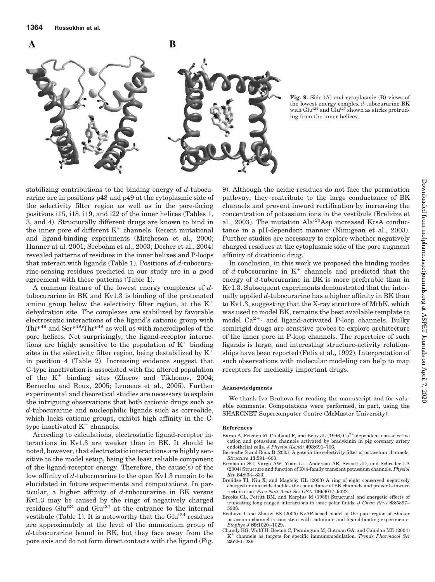



**Fig. 9.** Side (A) and cytoplasmic (B) views of the lowest energy complex *d*-tubocurarine-BK with Glu<sup>i24</sup> and Glu<sup>i27</sup> shown as sticks protruding from the inner helices.

stabilizing contributions to the binding energy of *d*-tubocurarine are in positions p48 and p49 at the cytoplasmic side of the selectivity filter region as well as in the pore-facing positions i15, i18, i19, and i22 of the inner helices (Tables 1, 3, and 4). Structurally different drugs are known to bind in the inner pore of different  $K^+$  channels. Recent mutational and ligand-binding experiments (Mitcheson et al., 2000; Hanner at al. 2001; Seebohm et al., 2003; Decher et al., 2004) revealed patterns of residues in the inner helixes and P-loops that interact with ligands (Table 1). Positions of *d*-tubocurarine-sensing residues predicted in our study are in a good agreement with these patterns (Table 1).

A common feature of the lowest energy complexes of *d*tubocurarine in BK and Kv1.3 is binding of the protonated amino group below the selectivity filter region, at the  $K^+$ dehydration site. The complexes are stabilized by favorable electrostatic interactions of the ligand's cationic group with  $Thr^{p49}$  and  $Ser^{p48}/Thr^{p48}$  as well as with macrodipoles of the pore helices. Not surprisingly, the ligand-receptor interactions are highly sensitive to the population of  $K^+$  binding sites in the selectivity filter region, being destabilized by  $K^+$ in position 4 (Table 2). Increasing evidence suggest that C-type inactivation is associated with the altered population of the  $K^+$  binding sites (Zhorov and Tikhonov, 2004; Berneche and Roux, 2005; Lenaeus et al., 2005). Further experimental and theoretical studies are necessary to explain the intriguing observations that both cationic drugs such as *d*-tubocurarine and nucleophilic ligands such as correolide, which lacks cationic groups, exhibit high affinity in the Ctype inactivated  $K^+$  channels.

According to calculations, electrostatic ligand-receptor interactions in Kv1.3 are weaker than in BK. It should be noted, however, that electrostatic interactions are highly sensitive to the model setup, being the least reliable component of the ligand-receptor energy. Therefore, the cause(s) of the low affinity of *d*-tubocurarine to the open Kv1.3 remain to be elucidated in future experiments and computations. In particular, a higher affinity of *d*-tubocurarine in BK versus Kv1.3 may be caused by the rings of negatively charged residues  $\ddot{G}$ lu<sup>i24</sup> and  $Glu$ <sup>27</sup> at the entrance to the internal vestibule (Table 1). It is noteworthy that the  $Glu^{i24}$  residues are approximately at the level of the ammonium group of *d*-tubocurarine bound in BK, but they face away from the pore axis and do not form direct contacts with the ligand (Fig.

9). Although the acidic residues do not face the permeation pathway, they contribute to the large conductance of BK channels and prevent inward rectification by increasing the concentration of potassium ions in the vestibule (Brelidze et al., 2003). The mutation Alai23Asp increased KcsA conductance in a pH-dependent manner (Nimigean et al., 2003). Further studies are necessary to explore whether negatively charged residues at the cytoplasmic side of the pore augment affinity of dicationic drug.

In conclusion, in this work we proposed the binding modes of  $d$ -tubocurarine in  $K^+$  channels and predicted that the energy of *d*-tubocurarine in BK is more preferable than in Kv1.3. Subsequent experiments demonstrated that the internally applied *d*-tubocurarine has a higher affinity in BK than to Kv1.3, suggesting that the X-ray structure of MthK, which was used to model BK, remains the best available template to model  $Ca^{2+}$ - and ligand-activated P-loop channels. Bulky semirigid drugs are sensitive probes to explore architecture of the inner pore in P-loop channels. The repertoire of such ligands is large, and interesting structure-activity relationships have been reported (Felix et al., 1992). Interpretation of such observations with molecular modeling can help to map receptors for medically important drugs.

## **Acknowledgments**

We thank Iva Bruhova for reading the manuscript and for valuable comments. Computations were performed, in part, using the SHARCNET Supercomputer Centre (McMaster University).

#### **References**

- Baron A, Frieden M, Chabaud F, and Beny JL (1996) Ca<sup>2+</sup>-dependent non-selective cation and potassium channels activated by bradykinin in pig coronary artery endothelial cells. *J Physiol (Lond)* **493:**691–706.
- Berneche S and Roux B (2005) A gate in the selectivity filter of potassium channels. *Structure* **13:**591– 600.
- Birnbaum SG, Varga AW, Yuan LL, Anderson AE, Sweatt JD, and Schrader LA (2004) Structure and function of Kv4-family transient potassium channels. *Physiol Rev* **84:**803– 833.
- Brelidze TI, Niu X, and Magleby KL (2003) A ring of eight conserved negatively charged amino acids doubles the conductance of BK channels and prevents inward rectification. *Proc Natl Acad Sci USA* **100:**9017–9022.
- Brooks CL, Pettitt BM, and Karplus M (1985) Structural and energetic effects of truncating long ranged interactions in ionic polar fluids. *J Chem Phys* **83:**5897– 5908.
- Bruhova I and Zhorov BS (2005) KvAP-based model of the pore region of Shaker potassium channel is consistent with cadmium- and ligand-binding experiments. *Biophys J* **89:**1020 –1029.
- Chandy KG, Wulff H, Beeton C, Pennington M, Gutman GA, and Cahalan MD (2004)  $K^+$  channels as targets for specific immunomodulation. *Trends Pharmacol Sci* **25:**280 –289.

A